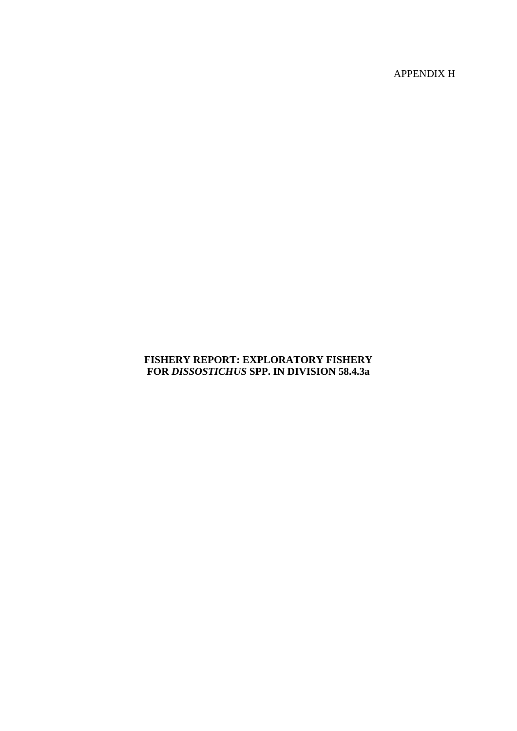APPENDIX H

## **FISHERY REPORT: EXPLORATORY FISHERY FOR** *DISSOSTICHUS* **SPP. IN DIVISION 58.4.3a**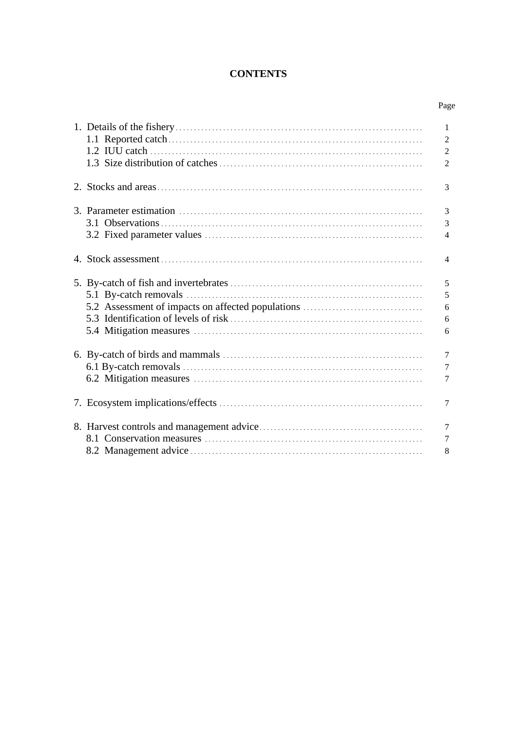# **CONTENTS**

| ۰, |
|----|
|----|

|                                                   | $\mathbf{1}$<br>$\overline{2}$ |
|---------------------------------------------------|--------------------------------|
|                                                   | $\overline{2}$                 |
|                                                   | $\overline{2}$                 |
|                                                   | 3                              |
|                                                   | 3                              |
|                                                   | 3                              |
|                                                   | $\overline{4}$                 |
|                                                   | $\overline{4}$                 |
|                                                   | 5                              |
|                                                   | 5                              |
| 5.2 Assessment of impacts on affected populations | 6                              |
|                                                   | 6                              |
|                                                   | 6                              |
|                                                   | $\overline{7}$                 |
|                                                   | 7                              |
|                                                   | $\overline{7}$                 |
|                                                   | 7                              |
|                                                   | $\overline{7}$                 |
|                                                   | $\overline{7}$                 |
|                                                   | 8                              |
|                                                   |                                |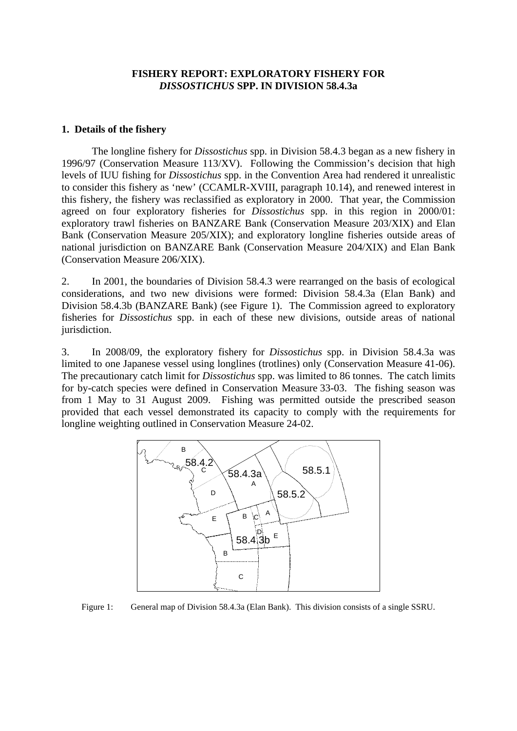#### **FISHERY REPORT: EXPLORATORY FISHERY FOR**  *DISSOSTICHUS* **SPP. IN DIVISION 58.4.3a**

#### <span id="page-2-0"></span>**1. Details of the fishery**

The longline fishery for *Dissostichus* spp. in Division 58.4.3 began as a new fishery in 1996/97 (Conservation Measure 113/XV). Following the Commission's decision that high levels of IUU fishing for *Dissostichus* spp. in the Convention Area had rendered it unrealistic to consider this fishery as 'new' (CCAMLR-XVIII, paragraph 10.14), and renewed interest in this fishery, the fishery was reclassified as exploratory in 2000. That year, the Commission agreed on four exploratory fisheries for *Dissostichus* spp. in this region in 2000/01: exploratory trawl fisheries on BANZARE Bank (Conservation Measure 203/XIX) and Elan Bank (Conservation Measure 205/XIX); and exploratory longline fisheries outside areas of national jurisdiction on BANZARE Bank (Conservation Measure 204/XIX) and Elan Bank (Conservation Measure 206/XIX).

2. In 2001, the boundaries of Division 58.4.3 were rearranged on the basis of ecological considerations, and two new divisions were formed: Division 58.4.3a (Elan Bank) and Division 58.4.3b (BANZARE Bank) (see Figure 1). The Commission agreed to exploratory fisheries for *Dissostichus* spp. in each of these new divisions, outside areas of national jurisdiction.

3. In 2008/09, the exploratory fishery for *Dissostichus* spp. in Division 58.4.3a was limited to one Japanese vessel using longlines (trotlines) only (Conservation Measure 41-06). The precautionary catch limit for *Dissostichus* spp. was limited to 86 tonnes. The catch limits for by-catch species were defined in Conservation Measure 33-03. The fishing season was from 1 May to 31 August 2009. Fishing was permitted outside the prescribed season provided that each vessel demonstrated its capacity to comply with the requirements for longline weighting outlined in Conservation Measure 24-02.



Figure 1: General map of Division 58.4.3a (Elan Bank). This division consists of a single SSRU.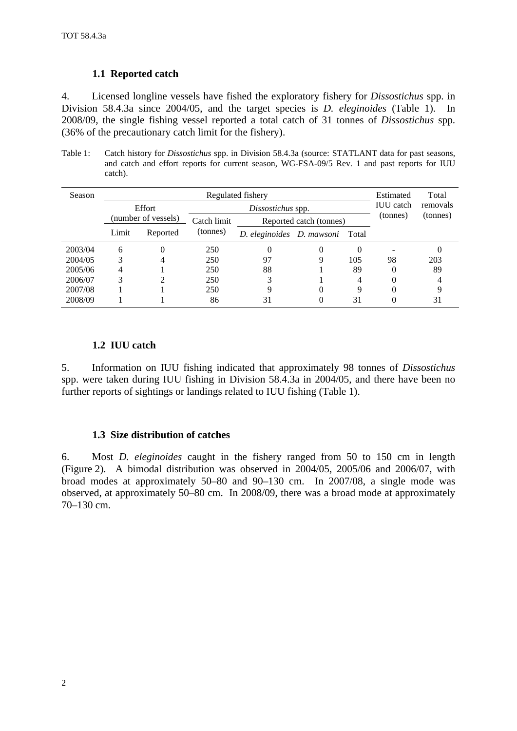### **1.1 Reported catch**

<span id="page-3-0"></span>4. Licensed longline vessels have fished the exploratory fishery for *Dissostichus* spp. in Division 58.4.3a since 2004/05, and the target species is *D. eleginoides* (Table 1). In 2008/09, the single fishing vessel reported a total catch of 31 tonnes of *Dissostichus* spp. (36% of the precautionary catch limit for the fishery).

Table 1: Catch history for *Dissostichus* spp. in Division 58.4.3a (source: STATLANT data for past seasons, and catch and effort reports for current season, WG-FSA-09/5 Rev. 1 and past reports for IUU catch).

| Season  | Regulated fishery   |          |                   |                                 |                   |          |                  | Total    |
|---------|---------------------|----------|-------------------|---------------------------------|-------------------|----------|------------------|----------|
|         |                     | Effort   | Dissostichus spp. |                                 |                   |          | <b>IUU</b> catch | removals |
|         | (number of vessels) |          | Catch limit       | Reported catch (tonnes)         |                   | (tonnes) | (tonnes)         |          |
|         | Limit               | Reported | (tonnes)          | D. eleginoides D. mawsoni Total |                   |          |                  |          |
| 2003/04 | 6                   | 0        | 250               | 0                               | $\mathbf{\Omega}$ | 0        |                  |          |
| 2004/05 | 3                   | 4        | 250               | 97                              | 9                 | 105      | 98               | 203      |
| 2005/06 | 4                   |          | 250               | 88                              |                   | 89       | 0                | 89       |
| 2006/07 | 3                   | ∍        | 250               | 3                               |                   | 4        | 0                |          |
| 2007/08 |                     |          | 250               | 9                               |                   | 9        | 0                |          |
| 2008/09 |                     |          | 86                | 31                              | 0                 | 31       | 0                | 31       |

# **1.2 IUU catch**

5. Information on IUU fishing indicated that approximately 98 tonnes of *Dissostichus* spp. were taken during IUU fishing in Division 58.4.3a in 2004/05, and there have been no further reports of sightings or landings related to IUU fishing (Table 1).

### **1.3 Size distribution of catches**

6. Most *D. eleginoides* caught in the fishery ranged from 50 to 150 cm in length (Figure 2). A bimodal distribution was observed in 2004/05, 2005/06 and 2006/07, with broad modes at approximately 50–80 and 90–130 cm. In 2007/08, a single mode was observed, at approximately 50–80 cm. In 2008/09, there was a broad mode at approximately 70–130 cm.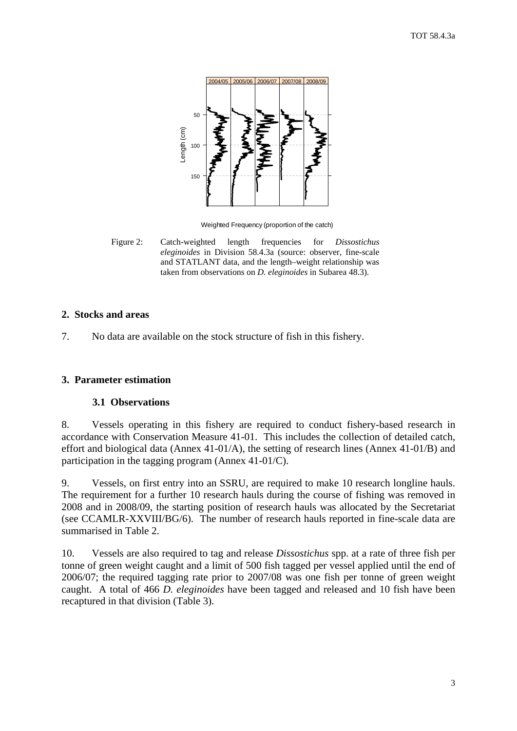<span id="page-4-0"></span>

Weighted Frequency (proportion of the catch)

Figure 2: Catch-weighted length frequencies for *Dissostichus eleginoides* in Division 58.4.3a (source: observer, fine-scale and STATLANT data, and the length–weight relationship was taken from observations on *D. eleginoides* in Subarea 48.3).

#### **2. Stocks and areas**

7. No data are available on the stock structure of fish in this fishery.

#### **3. Parameter estimation**

#### **3.1 Observations**

8. Vessels operating in this fishery are required to conduct fishery-based research in accordance with Conservation Measure 41-01. This includes the collection of detailed catch, effort and biological data (Annex 41-01/A), the setting of research lines (Annex 41-01/B) and participation in the tagging program (Annex 41-01/C).

9. Vessels, on first entry into an SSRU, are required to make 10 research longline hauls. The requirement for a further 10 research hauls during the course of fishing was removed in 2008 and in 2008/09, the starting position of research hauls was allocated by the Secretariat (see CCAMLR-XXVIII/BG/6). The number of research hauls reported in fine-scale data are summarised in Table 2.

10. Vessels are also required to tag and release *Dissostichus* spp. at a rate of three fish per tonne of green weight caught and a limit of 500 fish tagged per vessel applied until the end of 2006/07; the required tagging rate prior to 2007/08 was one fish per tonne of green weight caught. A total of 466 *D. eleginoides* have been tagged and released and 10 fish have been recaptured in that division (Table 3).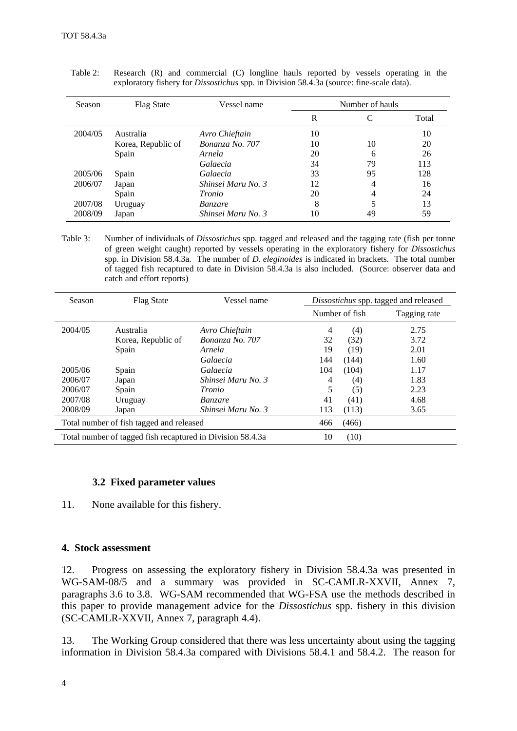| Season  | <b>Flag State</b>  | Vessel name        |    | Number of hauls |       |  |
|---------|--------------------|--------------------|----|-----------------|-------|--|
|         |                    |                    | R  |                 | Total |  |
| 2004/05 | Australia          | Avro Chieftain     | 10 |                 | 10    |  |
|         | Korea, Republic of | Bonanza No. 707    | 10 | 10              | 20    |  |
|         | Spain              | Arnela             | 20 | 6               | 26    |  |
|         |                    | Galaecia           | 34 | 79              | 113   |  |
| 2005/06 | Spain              | Galaecia           | 33 | 95              | 128   |  |
| 2006/07 | Japan              | Shinsei Maru No. 3 | 12 | 4               | 16    |  |
|         | Spain              | Tronio             | 20 | 4               | 24    |  |
| 2007/08 | Uruguay            | <i>Banzare</i>     | 8  |                 | 13    |  |
| 2008/09 | Japan              | Shinsei Maru No. 3 | 10 | 49              | 59    |  |

<span id="page-5-0"></span>Table 2: Research (R) and commercial (C) longline hauls reported by vessels operating in the exploratory fishery for *Dissostichus* spp. in Division 58.4.3a (source: fine-scale data).

Table 3: Number of individuals of *Dissostichus* spp. tagged and released and the tagging rate (fish per tonne of green weight caught) reported by vessels operating in the exploratory fishery for *Dissostichus* spp. in Division 58.4.3a. The number of *D. eleginoides* is indicated in brackets. The total number of tagged fish recaptured to date in Division 58.4.3a is also included. (Source: observer data and catch and effort reports)

| Season  | <b>Flag State</b>                                          | Vessel name        |       | Dissostichus spp. tagged and released |              |  |
|---------|------------------------------------------------------------|--------------------|-------|---------------------------------------|--------------|--|
|         |                                                            |                    |       | Number of fish                        | Tagging rate |  |
| 2004/05 | Australia                                                  | Avro Chieftain     | 4     | (4)                                   | 2.75         |  |
|         | Korea, Republic of                                         | Bonanza No. 707    | 32    | (32)                                  | 3.72         |  |
|         | Spain                                                      | Arnela             | 19    | (19)                                  | 2.01         |  |
|         |                                                            | Galaecia           | 144   | (144)                                 | 1.60         |  |
| 2005/06 | Spain                                                      | Galaecia           | 104   | (104)                                 | 1.17         |  |
| 2006/07 | Japan                                                      | Shinsei Maru No. 3 | 4     | (4)                                   | 1.83         |  |
| 2006/07 | Spain                                                      | <i>Tronio</i>      | 5     | (5)                                   | 2.23         |  |
| 2007/08 | Uruguay                                                    | <i>Banzare</i>     | 41    | (41)                                  | 4.68         |  |
| 2008/09 | Japan                                                      | Shinsei Maru No. 3 | 113   | (113)                                 | 3.65         |  |
|         | Total number of fish tagged and released                   | 466                | (466) |                                       |              |  |
|         | Total number of tagged fish recaptured in Division 58.4.3a | 10                 | (10)  |                                       |              |  |

#### **3.2 Fixed parameter values**

11. None available for this fishery.

#### **4. Stock assessment**

12. Progress on assessing the exploratory fishery in Division 58.4.3a was presented in WG-SAM-08/5 and a summary was provided in SC-CAMLR-XXVII, Annex 7, paragraphs 3.6 to 3.8. WG-SAM recommended that WG-FSA use the methods described in this paper to provide management advice for the *Dissostichus* spp. fishery in this division (SC-CAMLR-XXVII, Annex 7, paragraph 4.4).

13. The Working Group considered that there was less uncertainty about using the tagging information in Division 58.4.3a compared with Divisions 58.4.1 and 58.4.2. The reason for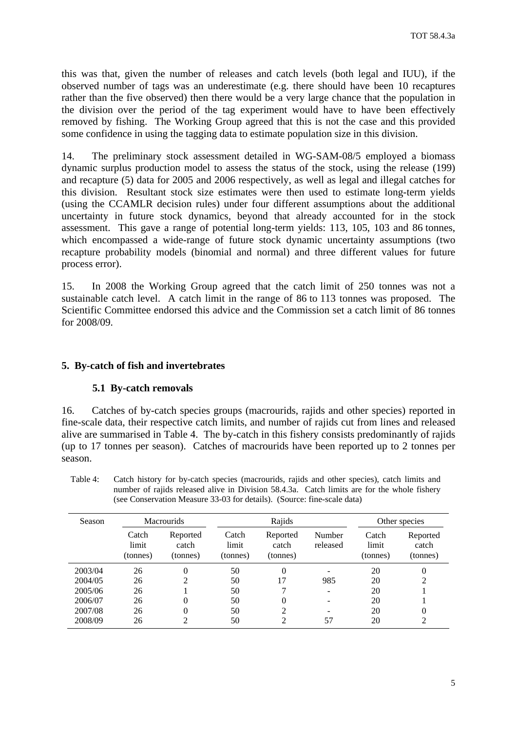<span id="page-6-0"></span>this was that, given the number of releases and catch levels (both legal and IUU), if the observed number of tags was an underestimate (e.g. there should have been 10 recaptures rather than the five observed) then there would be a very large chance that the population in the division over the period of the tag experiment would have to have been effectively removed by fishing. The Working Group agreed that this is not the case and this provided some confidence in using the tagging data to estimate population size in this division.

14. The preliminary stock assessment detailed in WG-SAM-08/5 employed a biomass dynamic surplus production model to assess the status of the stock, using the release (199) and recapture (5) data for 2005 and 2006 respectively, as well as legal and illegal catches for this division. Resultant stock size estimates were then used to estimate long-term yields (using the CCAMLR decision rules) under four different assumptions about the additional uncertainty in future stock dynamics, beyond that already accounted for in the stock assessment. This gave a range of potential long-term yields: 113, 105, 103 and 86 tonnes, which encompassed a wide-range of future stock dynamic uncertainty assumptions (two recapture probability models (binomial and normal) and three different values for future process error).

15. In 2008 the Working Group agreed that the catch limit of 250 tonnes was not a sustainable catch level. A catch limit in the range of 86 to 113 tonnes was proposed. The Scientific Committee endorsed this advice and the Commission set a catch limit of 86 tonnes for 2008/09.

#### **5. By-catch of fish and invertebrates**

#### **5.1 By-catch removals**

16. Catches of by-catch species groups (macrourids, rajids and other species) reported in fine-scale data, their respective catch limits, and number of rajids cut from lines and released alive are summarised in Table 4. The by-catch in this fishery consists predominantly of rajids (up to 17 tonnes per season). Catches of macrourids have been reported up to 2 tonnes per season.

Table 4: Catch history for by-catch species (macrourids, rajids and other species), catch limits and number of rajids released alive in Division 58.4.3a. Catch limits are for the whole fishery (see Conservation Measure 33-03 for details). (Source: fine-scale data)

| Season  | <b>Macrourids</b>          |                               | Rajids                     |                               |                    | Other species              |                               |
|---------|----------------------------|-------------------------------|----------------------------|-------------------------------|--------------------|----------------------------|-------------------------------|
|         | Catch<br>limit<br>(tonnes) | Reported<br>catch<br>(tonnes) | Catch<br>limit<br>(tonnes) | Reported<br>catch<br>(tonnes) | Number<br>released | Catch<br>limit<br>(tonnes) | Reported<br>catch<br>(tonnes) |
| 2003/04 | 26                         | 0                             | 50                         | 0                             |                    | 20                         | $\overline{0}$                |
| 2004/05 | 26                         | 2                             | 50                         | 17                            | 985                | 20                         | 2                             |
| 2005/06 | 26                         |                               | 50                         |                               |                    | 20                         |                               |
| 2006/07 | 26                         | 0                             | 50                         | 0                             |                    | 20                         |                               |
| 2007/08 | 26                         | 0                             | 50                         | 2                             |                    | 20                         | $\overline{0}$                |
| 2008/09 | 26                         | ∍                             | 50                         | 2                             | 57                 | 20                         | 2                             |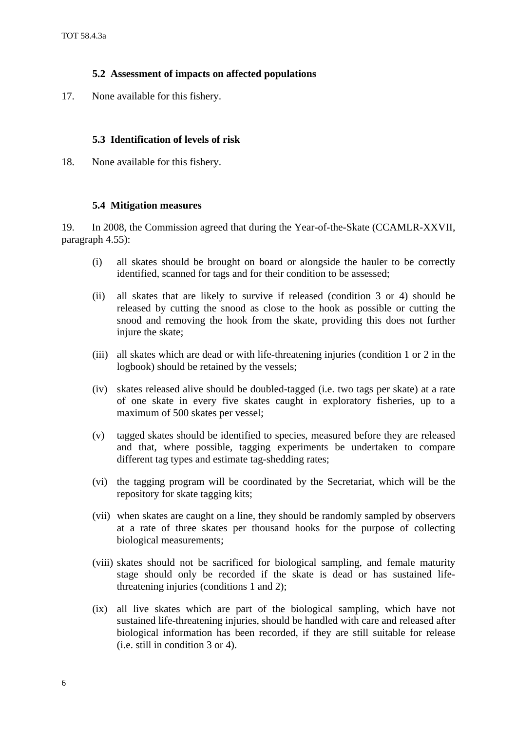### **5.2 Assessment of impacts on affected populations**

<span id="page-7-0"></span>17. None available for this fishery.

### **5.3 Identification of levels of risk**

18. None available for this fishery.

#### **5.4 Mitigation measures**

19. In 2008, the Commission agreed that during the Year-of-the-Skate (CCAMLR-XXVII, paragraph 4.55):

- (i) all skates should be brought on board or alongside the hauler to be correctly identified, scanned for tags and for their condition to be assessed;
- (ii) all skates that are likely to survive if released (condition 3 or 4) should be released by cutting the snood as close to the hook as possible or cutting the snood and removing the hook from the skate, providing this does not further injure the skate;
- (iii) all skates which are dead or with life-threatening injuries (condition 1 or 2 in the logbook) should be retained by the vessels;
- (iv) skates released alive should be doubled-tagged (i.e. two tags per skate) at a rate of one skate in every five skates caught in exploratory fisheries, up to a maximum of 500 skates per vessel;
- (v) tagged skates should be identified to species, measured before they are released and that, where possible, tagging experiments be undertaken to compare different tag types and estimate tag-shedding rates;
- (vi) the tagging program will be coordinated by the Secretariat, which will be the repository for skate tagging kits;
- (vii) when skates are caught on a line, they should be randomly sampled by observers at a rate of three skates per thousand hooks for the purpose of collecting biological measurements;
- (viii) skates should not be sacrificed for biological sampling, and female maturity stage should only be recorded if the skate is dead or has sustained lifethreatening injuries (conditions 1 and 2);
- (ix) all live skates which are part of the biological sampling, which have not sustained life-threatening injuries, should be handled with care and released after biological information has been recorded, if they are still suitable for release (i.e. still in condition 3 or 4).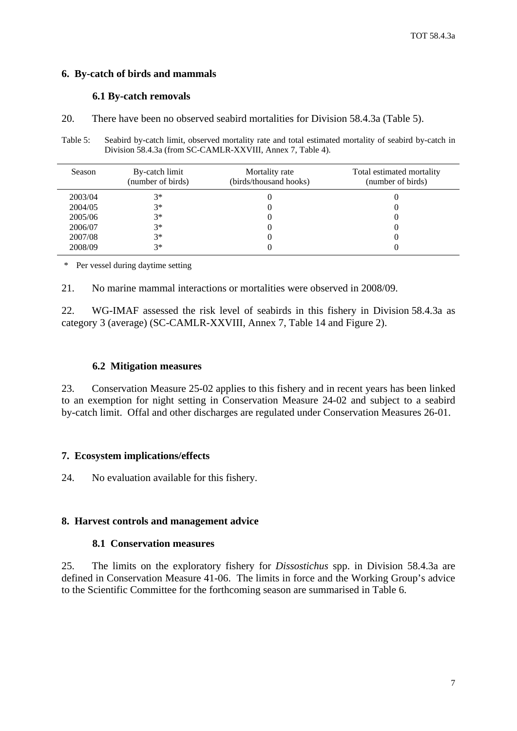### <span id="page-8-0"></span>**6. By-catch of birds and mammals**

### **6.1 By-catch removals**

20. There have been no observed seabird mortalities for Division 58.4.3a (Table 5).

Table 5: Seabird by-catch limit, observed mortality rate and total estimated mortality of seabird by-catch in Division 58.4.3a (from SC-CAMLR-XXVIII, Annex 7, Table 4).

| Season  | By-catch limit<br>(number of birds) | Mortality rate<br>(birds/thousand hooks) | Total estimated mortality<br>(number of birds) |
|---------|-------------------------------------|------------------------------------------|------------------------------------------------|
| 2003/04 | $3*$                                |                                          |                                                |
| 2004/05 | $3*$                                |                                          |                                                |
| 2005/06 | $3*$                                |                                          |                                                |
| 2006/07 | $3*$                                |                                          |                                                |
| 2007/08 | $3*$                                |                                          |                                                |
| 2008/09 | $3*$                                |                                          |                                                |

\* Per vessel during daytime setting

21. No marine mammal interactions or mortalities were observed in 2008/09.

22. WG-IMAF assessed the risk level of seabirds in this fishery in Division 58.4.3a as category 3 (average) (SC-CAMLR-XXVIII, Annex 7, Table 14 and Figure 2).

### **6.2 Mitigation measures**

23. Conservation Measure 25-02 applies to this fishery and in recent years has been linked to an exemption for night setting in Conservation Measure 24-02 and subject to a seabird by-catch limit. Offal and other discharges are regulated under Conservation Measures 26-01.

### **7. Ecosystem implications/effects**

24. No evaluation available for this fishery.

### **8. Harvest controls and management advice**

#### **8.1 Conservation measures**

25. The limits on the exploratory fishery for *Dissostichus* spp. in Division 58.4.3a are defined in Conservation Measure 41-06. The limits in force and the Working Group's advice to the Scientific Committee for the forthcoming season are summarised in Table 6.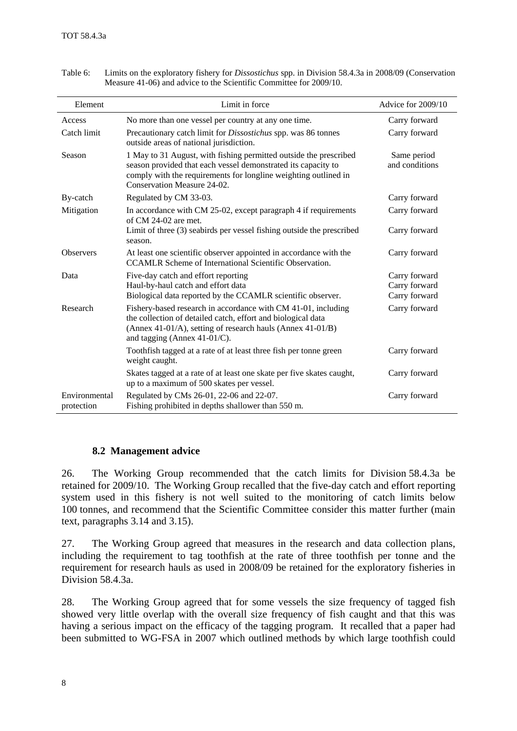| Element                     | Limit in force                                                                                                                                                                                                                       | Advice for 2009/10                              |
|-----------------------------|--------------------------------------------------------------------------------------------------------------------------------------------------------------------------------------------------------------------------------------|-------------------------------------------------|
| Access                      | No more than one vessel per country at any one time.                                                                                                                                                                                 | Carry forward                                   |
| Catch limit                 | Precautionary catch limit for <i>Dissostichus</i> spp. was 86 tonnes<br>outside areas of national jurisdiction.                                                                                                                      | Carry forward                                   |
| Season                      | 1 May to 31 August, with fishing permitted outside the prescribed<br>season provided that each vessel demonstrated its capacity to<br>comply with the requirements for longline weighting outlined in<br>Conservation Measure 24-02. | Same period<br>and conditions                   |
| By-catch                    | Regulated by CM 33-03.                                                                                                                                                                                                               | Carry forward                                   |
| Mitigation                  | In accordance with CM 25-02, except paragraph 4 if requirements<br>of $CM$ 24-02 are met.                                                                                                                                            | Carry forward                                   |
|                             | Limit of three (3) seabirds per vessel fishing outside the prescribed<br>season.                                                                                                                                                     | Carry forward                                   |
| <b>Observers</b>            | At least one scientific observer appointed in accordance with the<br><b>CCAMLR Scheme of International Scientific Observation.</b>                                                                                                   | Carry forward                                   |
| Data                        | Five-day catch and effort reporting<br>Haul-by-haul catch and effort data<br>Biological data reported by the CCAMLR scientific observer.                                                                                             | Carry forward<br>Carry forward<br>Carry forward |
| Research                    | Fishery-based research in accordance with CM 41-01, including<br>the collection of detailed catch, effort and biological data<br>(Annex 41-01/A), setting of research hauls (Annex 41-01/B)<br>and tagging (Annex $41-01/C$ ).       | Carry forward                                   |
|                             | Toothfish tagged at a rate of at least three fish per tonne green<br>weight caught.                                                                                                                                                  | Carry forward                                   |
|                             | Skates tagged at a rate of at least one skate per five skates caught,<br>up to a maximum of 500 skates per vessel.                                                                                                                   | Carry forward                                   |
| Environmental<br>protection | Regulated by CMs 26-01, 22-06 and 22-07.<br>Fishing prohibited in depths shallower than 550 m.                                                                                                                                       | Carry forward                                   |

<span id="page-9-0"></span>Table 6: Limits on the exploratory fishery for *Dissostichus* spp. in Division 58.4.3a in 2008/09 (Conservation Measure 41-06) and advice to the Scientific Committee for 2009/10.

#### **8.2 Management advice**

26. The Working Group recommended that the catch limits for Division 58.4.3a be retained for 2009/10. The Working Group recalled that the five-day catch and effort reporting system used in this fishery is not well suited to the monitoring of catch limits below 100 tonnes, and recommend that the Scientific Committee consider this matter further (main text, paragraphs 3.14 and 3.15).

27. The Working Group agreed that measures in the research and data collection plans, including the requirement to tag toothfish at the rate of three toothfish per tonne and the requirement for research hauls as used in 2008/09 be retained for the exploratory fisheries in Division 58.4.3a.

28. The Working Group agreed that for some vessels the size frequency of tagged fish showed very little overlap with the overall size frequency of fish caught and that this was having a serious impact on the efficacy of the tagging program. It recalled that a paper had been submitted to WG-FSA in 2007 which outlined methods by which large toothfish could